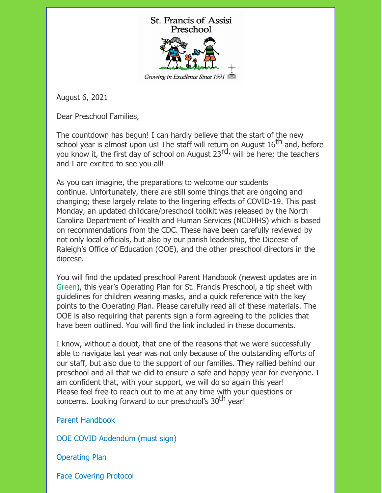

August 6, 2021

Dear Preschool Families,

The countdown has begun! I can hardly believe that the start of the new school year is almost upon us! The staff will return on August  $16^{th}$  and, before you know it, the first day of school on August 23<sup>rd,</sup> will be here; the teachers and I are excited to see you all!

As you can imagine, the preparations to welcome our students continue. Unfortunately, there are still some things that are ongoing and changing; these largely relate to the lingering effects of COVID-19. This past Monday, an updated childcare/preschool toolkit was released by the North Carolina Department of Health and Human Services (NCDHHS) which is based on recommendations from the CDC. These have been carefully reviewed by not only local officials, but also by our parish leadership, the Diocese of Raleigh's Office of Education (OOE), and the other preschool directors in the diocese.

You will find the updated preschool Parent Handbook (newest updates are in Green), this year's Operating Plan for St. Francis Preschool, a tip sheet with guidelines for children wearing masks, and a quick reference with the key points to the Operating Plan. Please carefully read all of these materials. The OOE is also requiring that parents sign a form agreeing to the policies that have been outlined. You will find the link included in these documents.

I know, without a doubt, that one of the reasons that we were successfully able to navigate last year was not only because of the outstanding efforts of our staff, but also due to the support of our families. They rallied behind our preschool and all that we did to ensure a safe and happy year for everyone. I am confident that, with your support, we will do so again this year! Please feel free to reach out to me at any time with your questions or concerns. Looking forward to our preschool's 30<sup>th</sup> year!

Parent [Handbook](https://files.constantcontact.com/66b3aeb8001/e1b968bd-50ad-4590-a4f5-8f79112443c4.pdf)

OOE COVID [Addendum](https://form.jotform.com/212134128873049) (must sign)

[Operating](https://files.constantcontact.com/66b3aeb8001/a1d67c8a-6d66-4d01-9803-28295567b7bc.pdf) Plan

Face [Covering](https://files.constantcontact.com/66b3aeb8001/7e6df376-3f22-4db2-bf55-c1396f54dd88.pdf) Protocol